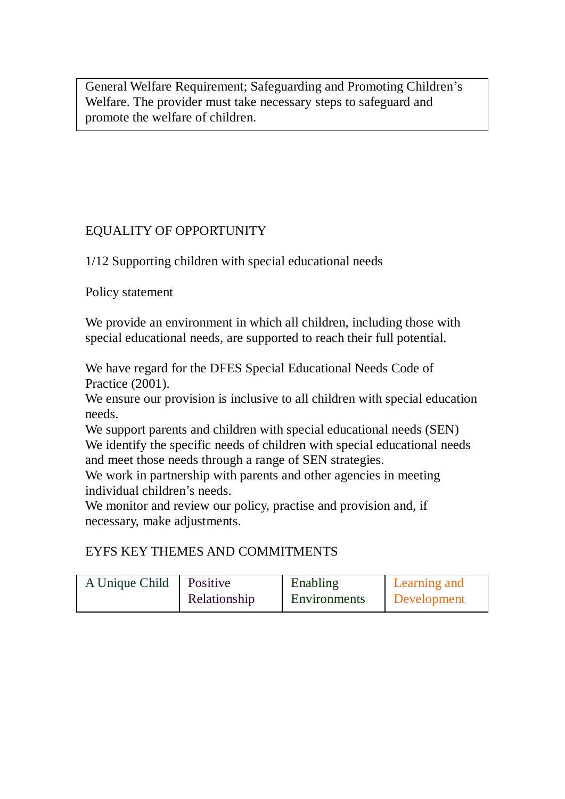General Welfare Requirement; Safeguarding and Promoting Children's Welfare. The provider must take necessary steps to safeguard and promote the welfare of children.

## EQUALITY OF OPPORTUNITY

1/12 Supporting children with special educational needs

Policy statement

We provide an environment in which all children, including those with special educational needs, are supported to reach their full potential.

We have regard for the DFES Special Educational Needs Code of Practice (2001).

We ensure our provision is inclusive to all children with special education needs.

We support parents and children with special educational needs (SEN) We identify the specific needs of children with special educational needs and meet those needs through a range of SEN strategies.

We work in partnership with parents and other agencies in meeting individual children's needs.

We monitor and review our policy, practise and provision and, if necessary, make adjustments.

## EYFS KEY THEMES AND COMMITMENTS

| A Unique Child   Positive |              | Enabling     | Learning and       |
|---------------------------|--------------|--------------|--------------------|
|                           | Relationship | Environments | <b>Development</b> |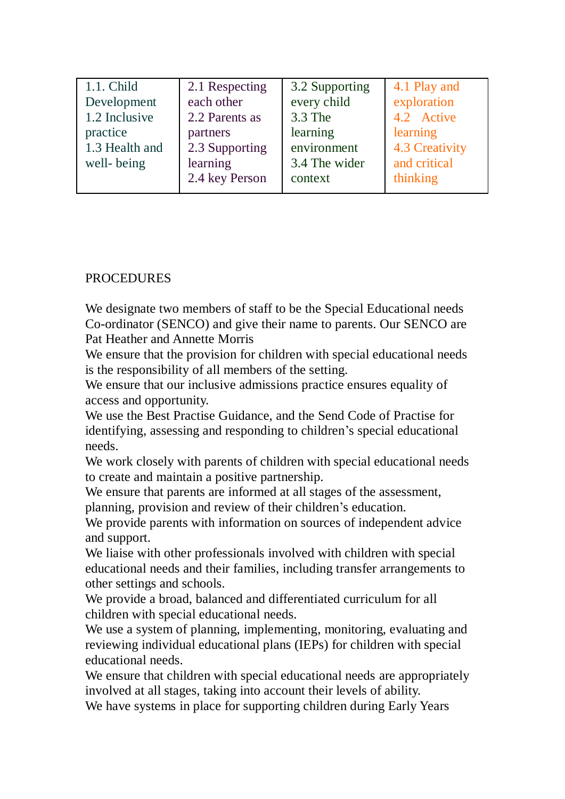| 1.1. Child     | 2.1 Respecting | 3.2 Supporting | 4.1 Play and   |
|----------------|----------------|----------------|----------------|
| Development    | each other     | every child    | exploration    |
| 1.2 Inclusive  | 2.2 Parents as | 3.3 The        | 4.2 Active     |
| practice       | partners       | learning       | learning       |
| 1.3 Health and | 2.3 Supporting | environment    | 4.3 Creativity |
| well-being     | learning       | 3.4 The wider  | and critical   |
|                | 2.4 key Person | context        | thinking       |

## **PROCEDURES**

We designate two members of staff to be the Special Educational needs Co-ordinator (SENCO) and give their name to parents. Our SENCO are Pat Heather and Annette Morris

We ensure that the provision for children with special educational needs is the responsibility of all members of the setting.

We ensure that our inclusive admissions practice ensures equality of access and opportunity.

We use the Best Practise Guidance, and the Send Code of Practise for identifying, assessing and responding to children's special educational needs.

We work closely with parents of children with special educational needs to create and maintain a positive partnership.

We ensure that parents are informed at all stages of the assessment, planning, provision and review of their children's education.

We provide parents with information on sources of independent advice and support.

We liaise with other professionals involved with children with special educational needs and their families, including transfer arrangements to other settings and schools.

We provide a broad, balanced and differentiated curriculum for all children with special educational needs.

We use a system of planning, implementing, monitoring, evaluating and reviewing individual educational plans (IEPs) for children with special educational needs.

We ensure that children with special educational needs are appropriately involved at all stages, taking into account their levels of ability.

We have systems in place for supporting children during Early Years